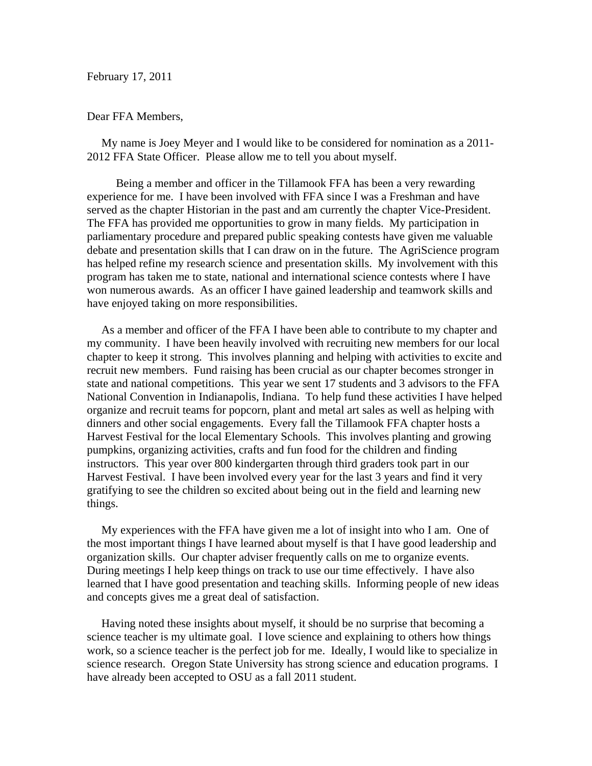February 17, 2011

## Dear FFA Members,

 My name is Joey Meyer and I would like to be considered for nomination as a 2011- 2012 FFA State Officer. Please allow me to tell you about myself.

 Being a member and officer in the Tillamook FFA has been a very rewarding experience for me. I have been involved with FFA since I was a Freshman and have served as the chapter Historian in the past and am currently the chapter Vice-President. The FFA has provided me opportunities to grow in many fields. My participation in parliamentary procedure and prepared public speaking contests have given me valuable debate and presentation skills that I can draw on in the future. The AgriScience program has helped refine my research science and presentation skills. My involvement with this program has taken me to state, national and international science contests where I have won numerous awards. As an officer I have gained leadership and teamwork skills and have enjoyed taking on more responsibilities.

 As a member and officer of the FFA I have been able to contribute to my chapter and my community. I have been heavily involved with recruiting new members for our local chapter to keep it strong. This involves planning and helping with activities to excite and recruit new members. Fund raising has been crucial as our chapter becomes stronger in state and national competitions. This year we sent 17 students and 3 advisors to the FFA National Convention in Indianapolis, Indiana. To help fund these activities I have helped organize and recruit teams for popcorn, plant and metal art sales as well as helping with dinners and other social engagements. Every fall the Tillamook FFA chapter hosts a Harvest Festival for the local Elementary Schools. This involves planting and growing pumpkins, organizing activities, crafts and fun food for the children and finding instructors. This year over 800 kindergarten through third graders took part in our Harvest Festival. I have been involved every year for the last 3 years and find it very gratifying to see the children so excited about being out in the field and learning new things.

 My experiences with the FFA have given me a lot of insight into who I am. One of the most important things I have learned about myself is that I have good leadership and organization skills. Our chapter adviser frequently calls on me to organize events. During meetings I help keep things on track to use our time effectively. I have also learned that I have good presentation and teaching skills. Informing people of new ideas and concepts gives me a great deal of satisfaction.

 Having noted these insights about myself, it should be no surprise that becoming a science teacher is my ultimate goal. I love science and explaining to others how things work, so a science teacher is the perfect job for me. Ideally, I would like to specialize in science research. Oregon State University has strong science and education programs. I have already been accepted to OSU as a fall 2011 student.